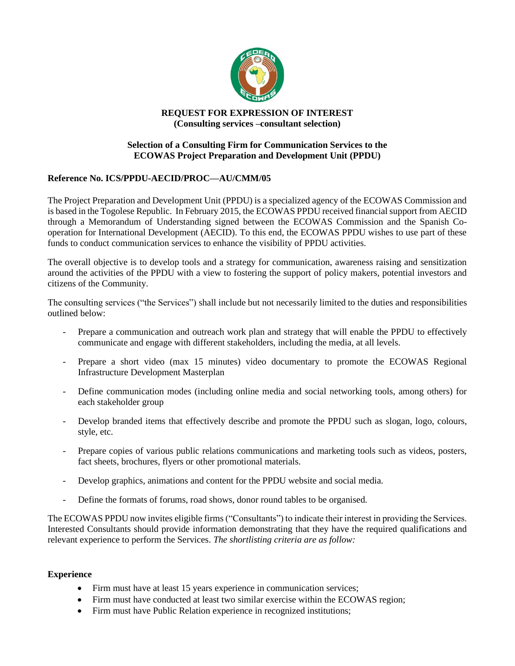

## **REQUEST FOR EXPRESSION OF INTEREST (Consulting services –consultant selection)**

## **Selection of a Consulting Firm for Communication Services to the ECOWAS Project Preparation and Development Unit (PPDU)**

# **Reference No. ICS/PPDU-AECID/PROC—AU/CMM/05**

The Project Preparation and Development Unit (PPDU) is a specialized agency of the ECOWAS Commission and is based in the Togolese Republic. In February 2015, the ECOWAS PPDU received financial support from AECID through a Memorandum of Understanding signed between the ECOWAS Commission and the Spanish Cooperation for International Development (AECID). To this end, the ECOWAS PPDU wishes to use part of these funds to conduct communication services to enhance the visibility of PPDU activities.

The overall objective is to develop tools and a strategy for communication, awareness raising and sensitization around the activities of the PPDU with a view to fostering the support of policy makers, potential investors and citizens of the Community.

The consulting services ("the Services") shall include but not necessarily limited to the duties and responsibilities outlined below:

- Prepare a communication and outreach work plan and strategy that will enable the PPDU to effectively communicate and engage with different stakeholders, including the media, at all levels.
- Prepare a short video (max 15 minutes) video documentary to promote the ECOWAS Regional Infrastructure Development Masterplan
- Define communication modes (including online media and social networking tools, among others) for each stakeholder group
- Develop branded items that effectively describe and promote the PPDU such as slogan, logo, colours, style, etc.
- Prepare copies of various public relations communications and marketing tools such as videos, posters, fact sheets, brochures, flyers or other promotional materials.
- Develop graphics, animations and content for the PPDU website and social media.
- Define the formats of forums, road shows, donor round tables to be organised.

The ECOWAS PPDU now invites eligible firms("Consultants") to indicate their interest in providing the Services. Interested Consultants should provide information demonstrating that they have the required qualifications and relevant experience to perform the Services. *The shortlisting criteria are as follow:*

#### **Experience**

- Firm must have at least 15 years experience in communication services;
- Firm must have conducted at least two similar exercise within the ECOWAS region;
- Firm must have Public Relation experience in recognized institutions;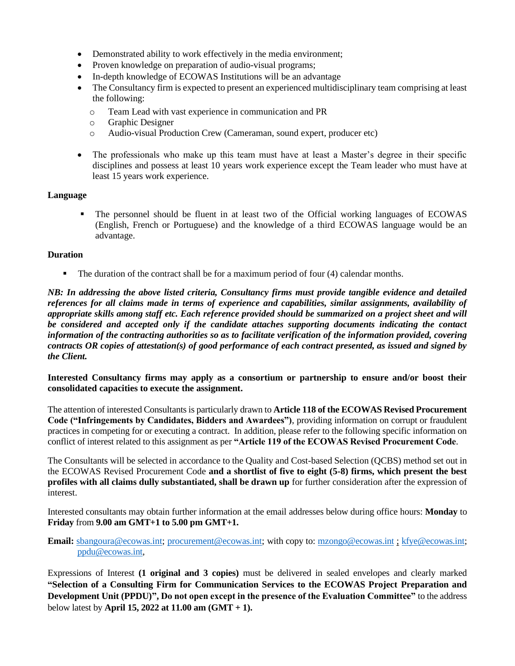- Demonstrated ability to work effectively in the media environment;
- Proven knowledge on preparation of audio-visual programs;
- In-depth knowledge of ECOWAS Institutions will be an advantage
- The Consultancy firm is expected to present an experienced multidisciplinary team comprising at least the following:
	- o Team Lead with vast experience in communication and PR
	- o Graphic Designer
	- o Audio-visual Production Crew (Cameraman, sound expert, producer etc)
- The professionals who make up this team must have at least a Master's degree in their specific disciplines and possess at least 10 years work experience except the Team leader who must have at least 15 years work experience.

#### **Language**

▪ The personnel should be fluent in at least two of the Official working languages of ECOWAS (English, French or Portuguese) and the knowledge of a third ECOWAS language would be an advantage.

## **Duration**

**•** The duration of the contract shall be for a maximum period of four (4) calendar months.

*NB: In addressing the above listed criteria, Consultancy firms must provide tangible evidence and detailed references for all claims made in terms of experience and capabilities, similar assignments, availability of appropriate skills among staff etc. Each reference provided should be summarized on a project sheet and will be considered and accepted only if the candidate attaches supporting documents indicating the contact information of the contracting authorities so as to facilitate verification of the information provided, covering contracts OR copies of attestation(s) of good performance of each contract presented, as issued and signed by the Client.* 

**Interested Consultancy firms may apply as a consortium or partnership to ensure and/or boost their consolidated capacities to execute the assignment.** 

The attention of interested Consultants is particularly drawn to **Article 118 of the ECOWAS Revised Procurement Code ("Infringements by Candidates, Bidders and Awardees")**, providing information on corrupt or fraudulent practices in competing for or executing a contract. In addition, please refer to the following specific information on conflict of interest related to this assignment as per **"Article 119 of the ECOWAS Revised Procurement Code**.

The Consultants will be selected in accordance to the Quality and Cost-based Selection (QCBS) method set out in the ECOWAS Revised Procurement Code **and a shortlist of five to eight (5-8) firms, which present the best profiles with all claims dully substantiated, shall be drawn up** for further consideration after the expression of interest.

Interested consultants may obtain further information at the email addresses below during office hours: **Monday** to **Friday** from **9.00 am GMT+1 to 5.00 pm GMT+1.** 

**Email:** [sbangoura@ecowas.int;](mailto:sbangoura@ecowas.int) [procurement@ecowas.int;](mailto:procurement@ecowas.int) with copy to: [mzongo@ecowas.int](mailto:mzongo@ecowas.int); [kfye@ecowas.int;](mailto:kfye@ecowas.int) [ppdu@ecowas.int,](mailto:ppdu@ecowas.int)

Expressions of Interest **(1 original and 3 copies)** must be delivered in sealed envelopes and clearly marked **"Selection of a Consulting Firm for Communication Services to the ECOWAS Project Preparation and Development Unit (PPDU)", Do not open except in the presence of the Evaluation Committee"** to the address below latest by **April 15, 2022 at 11.00 am (GMT + 1).**